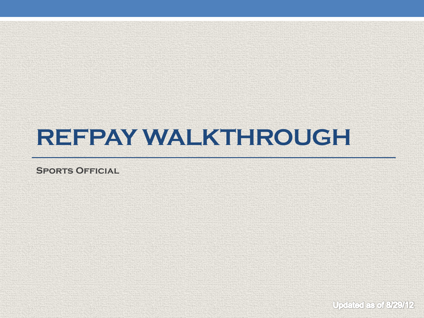# **REFPAY WALKTHROUGH**

**Sports Official**

Updated as of 3/29/12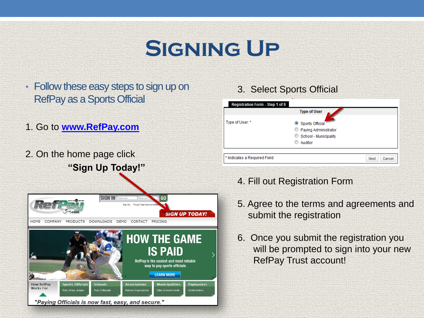## **Signing Up**

- Follow these easy steps to sign up on RefPay as a Sports Official
- 1. Go to **[www.RefPay.com](http://www.refpay.com/)**
- 2. On the home page click **"Sign Up Today!"**



|                 | <b>Type of User</b>   |  |
|-----------------|-----------------------|--|
| Type of User: * | Sports Official       |  |
|                 | Paying Administrator  |  |
|                 | School - Municipality |  |
|                 | Auditor               |  |

4. Fill out Registration Form

3. Select Sports Official

- 5. Agree to the terms and agreements and submit the registration
- 6. Once you submit the registration you will be prompted to sign into your new RefPay Trust account!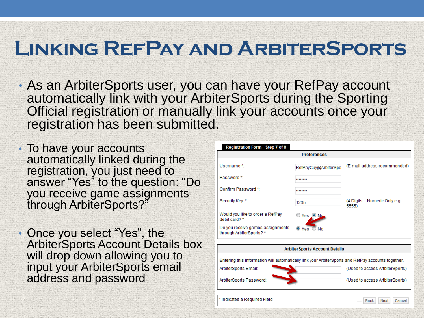#### **Linking RefPay and ArbiterSports**

- As an ArbiterSports user, you can have your RefPay account automatically link with your ArbiterSports during the Sporting Official registration or manually link your accounts once your registration has been submitted.
- To have your accounts automatically linked during the registration, you just need to answer "Yes" to the question: "Do you receive game assignments through ArbiterSports?"
- Once you select "Yes", the ArbiterSports Account Details box will drop down allowing you to input your ArbiterSports email address and password

| Registration Form - Step 7 of 8                                                                    |                                       |                                        |  |  |  |
|----------------------------------------------------------------------------------------------------|---------------------------------------|----------------------------------------|--|--|--|
| <b>Preferences</b>                                                                                 |                                       |                                        |  |  |  |
| Username*                                                                                          | RefPayGuy@ArbiterSpc                  | (E-mail address recommended)           |  |  |  |
| Password*                                                                                          |                                       |                                        |  |  |  |
| Confirm Password *:                                                                                |                                       |                                        |  |  |  |
| Security Key: *                                                                                    | 1235                                  | (4 Digits - Numeric Only e.g.<br>5555) |  |  |  |
| Would you like to order a RefPay<br>debit card? *                                                  | Yes ON <sub>O</sub>                   |                                        |  |  |  |
| Do you receive games assignments<br>through ArbiterSports?*                                        | $\bullet$ Yes $\circ$ No              |                                        |  |  |  |
|                                                                                                    |                                       |                                        |  |  |  |
|                                                                                                    | <b>Arbiter Sports Account Details</b> |                                        |  |  |  |
| Entering this information will automatically link your ArbiterSports and RefPay accounts together. |                                       |                                        |  |  |  |
| ArbiterSports Email:                                                                               |                                       | (Used to access ArtbiterSports)        |  |  |  |
| ArbiterSports Password:                                                                            |                                       | (Used to access ArtbiterSports)        |  |  |  |
| * Indicates a Required Field                                                                       |                                       | Cancel<br>Back<br>Next                 |  |  |  |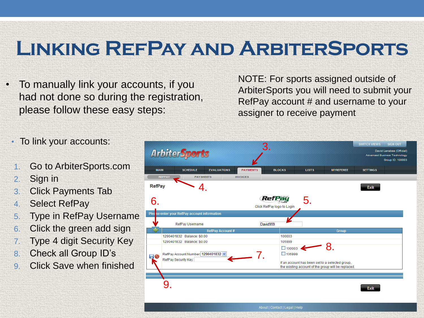#### **Linking RefPay and ArbiterSports**

• To manually link your accounts, if you had not done so during the registration, please follow these easy steps:

NOTE: For sports assigned outside of ArbiterSports you will need to submit your RefPay account # and username to your assigner to receive payment

- To link your accounts:
- 1. Go to ArbiterSports.com
- 2. Sign in
- 3. Click Payments Tab
- 4. Select RefPay
- 5. Type in RefPay Username
- 6. Click the green add sign
- 7. Type 4 digit Security Key
- 8. Check all Group ID's
- 9. Click Save when finished



About | Contact | Legal | Help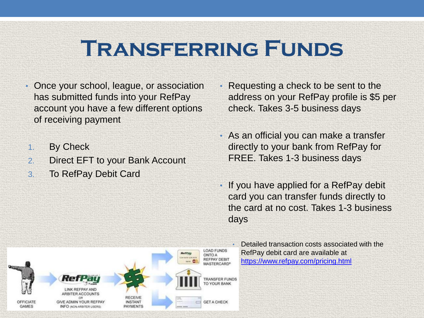### **Transferring Funds**

- Once your school, league, or association has submitted funds into your RefPay account you have a few different options of receiving payment
- 1. By Check
- 2. Direct EFT to your Bank Account
- 3. To RefPay Debit Card
- Requesting a check to be sent to the address on your RefPay profile is \$5 per check. Takes 3-5 business days
- As an official you can make a transfer directly to your bank from RefPay for FREE. Takes 1-3 business days
- If you have applied for a RefPay debit card you can transfer funds directly to the card at no cost. Takes 1-3 business days



• Detailed transaction costs associated with the RefPay debit card are available at <https://www.refpay.com/pricing.html>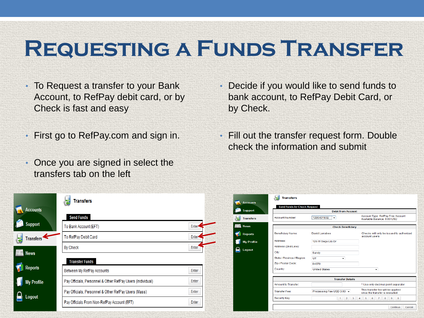# **Requesting a Funds Transfer**

- To Request a transfer to your Bank Account, to RefPay debit card, or by Check is fast and easy
- First go to RefPay.com and sign in.
- Once you are signed in select the transfers tab on the left
- Decide if you would like to send funds to bank account, to RefPay Debit Card, or by Check.
- Fill out the transfer request form. Double check the information and submit

|                   | <b>Transfers</b>                                           |       |
|-------------------|------------------------------------------------------------|-------|
| <b>Accounts</b>   | <b>Send Funds</b>                                          |       |
| <b>Support</b>    | To Bank Account (EFT)                                      | Enter |
| <b>Transfers</b>  | To RefPay Debit Card                                       | Enter |
| <b>News</b>       | <b>By Check</b>                                            | Enter |
|                   | <b>Transfer Funds</b>                                      |       |
| <b>Reports</b>    | Between My RefPay Accounts                                 | Enter |
| <b>My Profile</b> | Pay Officials, Personnel & Other RefPay Users (Individual) | Enter |
|                   | Pay Officials, Personnel & Other RefPay Users (Mass)       | Enter |
| Logout            | Pay Officials From Non-RefPay Account (EFT)                | Enter |

| <b>Send Funds by Check Request</b> |                           |                                                                    |  |
|------------------------------------|---------------------------|--------------------------------------------------------------------|--|
|                                    | <b>Debit from Account</b> |                                                                    |  |
| <b>Account Number</b>              | 1290401832<br>$\cdot$     | Account Type: RefPay Free Account<br>Available Balance: 0.00 USD   |  |
|                                    | <b>Check Beneficiary</b>  |                                                                    |  |
| <b>Beneficiary Name:</b>           | David Larrabee            | Checks will only be issued to authorized<br>account users          |  |
| Address:                           | 126 W Sego Lily Dr        |                                                                    |  |
| Address (2nd Line):                |                           |                                                                    |  |
| City:                              | Sandy                     |                                                                    |  |
| State / Province / Region:         | UT<br>٠                   |                                                                    |  |
| Zip / Postal Code:                 | 84070                     |                                                                    |  |
| Country:                           | <b>United States</b>      | $\blacktriangledown$                                               |  |
|                                    |                           |                                                                    |  |
|                                    | <b>Transfer Details</b>   |                                                                    |  |
| <b>Amount to Transfer:</b>         |                           | * Use only decimal point separator                                 |  |
| <b>Transfer Fee:</b>               | Processing Fee USD 3.00 - | This transfer fee will be applied<br>once the transfer is executed |  |
| Security Key:                      | $\overline{2}$<br>1       | 3<br>5<br>6<br>8<br>9<br>$\mathbf{0}$<br>4<br>$\overline{7}$       |  |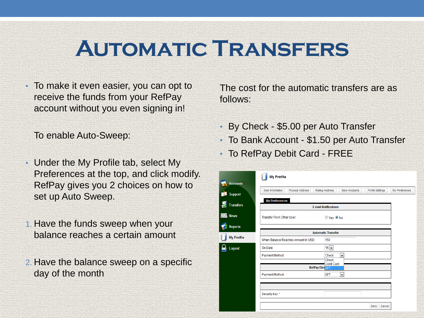### **Automatic Transfers**

• To make it even easier, you can opt to receive the funds from your RefPay account without you even signing in!

To enable Auto-Sweep:

- Under the My Profile tab, select My Preferences at the top, and click modify. RefPay gives you 2 choices on how to set up Auto Sweep.
- 1. Have the funds sweep when your balance reaches a certain amount
- 2. Have the balance sweep on a specific day of the month

The cost for the automatic transfers are as follows:

- By Check \$5.00 per Auto Transfer
- To Bank Account \$1.50 per Auto Transfer
- To RefPay Debit Card FREE

|                   | <b>My Profile</b>                                    |                                                                           |                |  |  |  |
|-------------------|------------------------------------------------------|---------------------------------------------------------------------------|----------------|--|--|--|
| <b>Accounts</b>   |                                                      |                                                                           |                |  |  |  |
| <b>Support</b>    | <b>User Information</b><br><b>Physical Address</b>   | <b>Mailing Address</b><br><b>Bank Accounts</b><br><b>Profile Settings</b> | My Preferences |  |  |  |
| <b>Transfers</b>  | <b>My Preferences</b><br><b>E-mail Notifications</b> |                                                                           |                |  |  |  |
| <b>News</b>       | Transfer From Other User:                            | © Yes <sup>⊙</sup> No                                                     |                |  |  |  |
| <b>Reports</b>    |                                                      |                                                                           |                |  |  |  |
|                   |                                                      | <b>Automatic Transfer</b>                                                 |                |  |  |  |
| <b>My Profile</b> | When Balance Reaches Amount in USD:                  | 150                                                                       |                |  |  |  |
| Logout            | On Date:                                             | $15 -$                                                                    |                |  |  |  |
|                   | Payment Method:                                      | <b>Check</b><br>$\overline{\phantom{a}}$<br>Check                         |                |  |  |  |
|                   | <b>Debit Card</b><br>RefPay Dire                     |                                                                           |                |  |  |  |
|                   | Payment Method:                                      | EFT<br>$\overline{\phantom{a}}$                                           |                |  |  |  |
|                   |                                                      |                                                                           |                |  |  |  |
|                   | Security Key: *                                      |                                                                           |                |  |  |  |
|                   |                                                      | Save<br>Cancel                                                            |                |  |  |  |